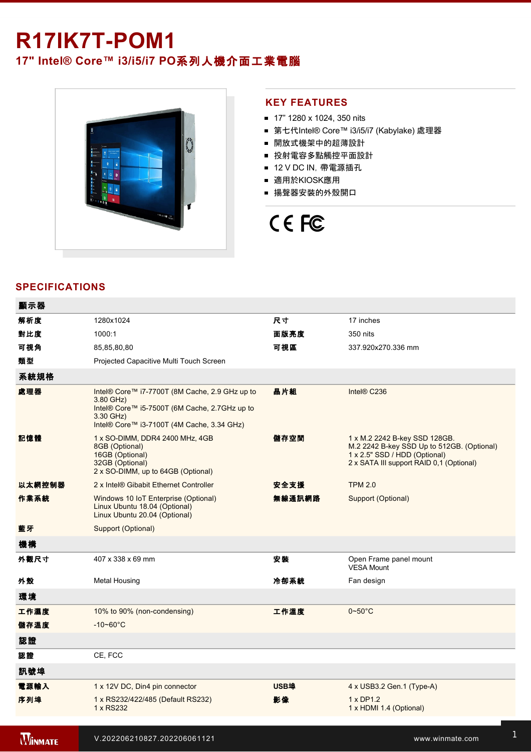## **R17IK7T-POM1**

### **17" Intel® Core™ i3/i5/i7 PO**系列人機介面工業電腦



### **KEY FEATURES**

- 17" 1280 x 1024, 350 nits
- 第七代Intel® Core™ i3/i5/i7 (Kabylake) 處理器
- 開放式機架中的超薄設計
- 投射電容多點觸控平面設計
- 12 V DC IN, 帶電源插孔
- 適用於KIOSK應用
- 揚聲器安裝的外殼開口

# CE FC

### **SPECIFICATIONS**

| 顯示器    |                                                                                                                                                                         |             |                                                                                                                                                          |
|--------|-------------------------------------------------------------------------------------------------------------------------------------------------------------------------|-------------|----------------------------------------------------------------------------------------------------------------------------------------------------------|
| 解析度    | 1280x1024                                                                                                                                                               | 尺寸          | 17 inches                                                                                                                                                |
| 對比度    | 1000:1                                                                                                                                                                  | 面版亮度        | 350 nits                                                                                                                                                 |
| 可視角    | 85,85,80,80                                                                                                                                                             | 可視區         | 337.920x270.336 mm                                                                                                                                       |
| 類型     | Projected Capacitive Multi Touch Screen                                                                                                                                 |             |                                                                                                                                                          |
| 系統規格   |                                                                                                                                                                         |             |                                                                                                                                                          |
| 處理器    | Intel® Core™ i7-7700T (8M Cache, 2.9 GHz up to<br>3.80 GHz)<br>Intel® Core™ i5-7500T (6M Cache, 2.7GHz up to<br>3.30 GHz)<br>Intel® Core™ i3-7100T (4M Cache, 3.34 GHz) | 晶片組         | Intel <sup>®</sup> C236                                                                                                                                  |
| 記憶體    | 1 x SO-DIMM, DDR4 2400 MHz, 4GB<br>8GB (Optional)<br>16GB (Optional)<br>32GB (Optional)<br>2 x SO-DIMM, up to 64GB (Optional)                                           | 儲存空間        | 1 x M.2 2242 B-key SSD 128GB.<br>M.2 2242 B-key SSD Up to 512GB. (Optional)<br>1 x 2.5" SSD / HDD (Optional)<br>2 x SATA III support RAID 0,1 (Optional) |
| 以太網控制器 | 2 x Intel® Gibabit Ethernet Controller                                                                                                                                  | 安全支援        | <b>TPM 2.0</b>                                                                                                                                           |
| 作業系統   | Windows 10 IoT Enterprise (Optional)<br>Linux Ubuntu 18.04 (Optional)<br>Linux Ubuntu 20.04 (Optional)                                                                  | 無線通訊網路      | Support (Optional)                                                                                                                                       |
| 藍牙     | Support (Optional)                                                                                                                                                      |             |                                                                                                                                                          |
| 機構     |                                                                                                                                                                         |             |                                                                                                                                                          |
| 外觀尺寸   | 407 x 338 x 69 mm                                                                                                                                                       | 安装          | Open Frame panel mount<br>VESA Mount                                                                                                                     |
| 外殼     | Metal Housing                                                                                                                                                           | 冷卻系統        | Fan design                                                                                                                                               |
| 環境     |                                                                                                                                                                         |             |                                                                                                                                                          |
| 工作濕度   | 10% to 90% (non-condensing)                                                                                                                                             | 工作溫度        | $0\nightharpoonup 50^\circ C$                                                                                                                            |
| 儲存溫度   | $-10 - 60^{\circ}C$                                                                                                                                                     |             |                                                                                                                                                          |
| 認證     |                                                                                                                                                                         |             |                                                                                                                                                          |
| 認證     | CE, FCC                                                                                                                                                                 |             |                                                                                                                                                          |
| 訊號埠    |                                                                                                                                                                         |             |                                                                                                                                                          |
| 電源輸入   | 1 x 12V DC, Din4 pin connector                                                                                                                                          | <b>USB埠</b> | 4 x USB3.2 Gen.1 (Type-A)                                                                                                                                |
| 序列埠    | 1 x RS232/422/485 (Default RS232)<br>1 x RS232                                                                                                                          | 影像          | $1 \times DP1.2$<br>1 x HDMI 1.4 (Optional)                                                                                                              |
|        |                                                                                                                                                                         |             |                                                                                                                                                          |

**WINMATE** 

有線網路 2 x Giga LAN RJ45 Connector 指示燈 1 x LED Indicator for power